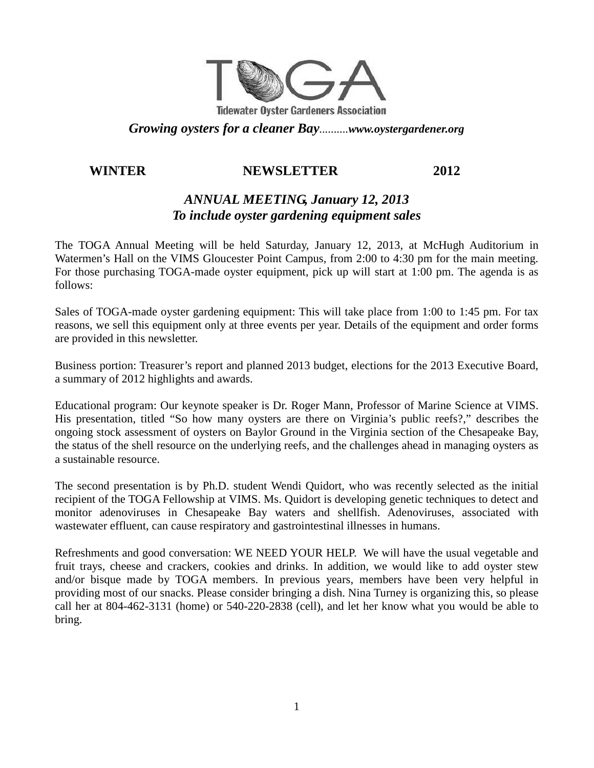

*Growing oysters for a cleaner Bay..........www.oystergardener.org* 

## **WINTER NEWSLETTER 2012**

## *ANNUAL MEETING, January 12, 2013 To include oyster gardening equipment sales*

The TOGA Annual Meeting will be held Saturday, January 12, 2013, at McHugh Auditorium in Watermen's Hall on the VIMS Gloucester Point Campus, from 2:00 to 4:30 pm for the main meeting. For those purchasing TOGA-made oyster equipment, pick up will start at 1:00 pm. The agenda is as follows:

Sales of TOGA-made oyster gardening equipment: This will take place from 1:00 to 1:45 pm. For tax reasons, we sell this equipment only at three events per year. Details of the equipment and order forms are provided in this newsletter.

Business portion: Treasurer's report and planned 2013 budget, elections for the 2013 Executive Board, a summary of 2012 highlights and awards.

Educational program: Our keynote speaker is Dr. Roger Mann, Professor of Marine Science at VIMS. His presentation, titled "So how many oysters are there on Virginia's public reefs?," describes the ongoing stock assessment of oysters on Baylor Ground in the Virginia section of the Chesapeake Bay, the status of the shell resource on the underlying reefs, and the challenges ahead in managing oysters as a sustainable resource.

The second presentation is by Ph.D. student Wendi Quidort, who was recently selected as the initial recipient of the TOGA Fellowship at VIMS. Ms. Quidort is developing genetic techniques to detect and monitor adenoviruses in Chesapeake Bay waters and shellfish. Adenoviruses, associated with wastewater effluent, can cause respiratory and gastrointestinal illnesses in humans.

Refreshments and good conversation: WE NEED YOUR HELP. We will have the usual vegetable and fruit trays, cheese and crackers, cookies and drinks. In addition, we would like to add oyster stew and/or bisque made by TOGA members. In previous years, members have been very helpful in providing most of our snacks. Please consider bringing a dish. Nina Turney is organizing this, so please call her at 804-462-3131 (home) or 540-220-2838 (cell), and let her know what you would be able to bring.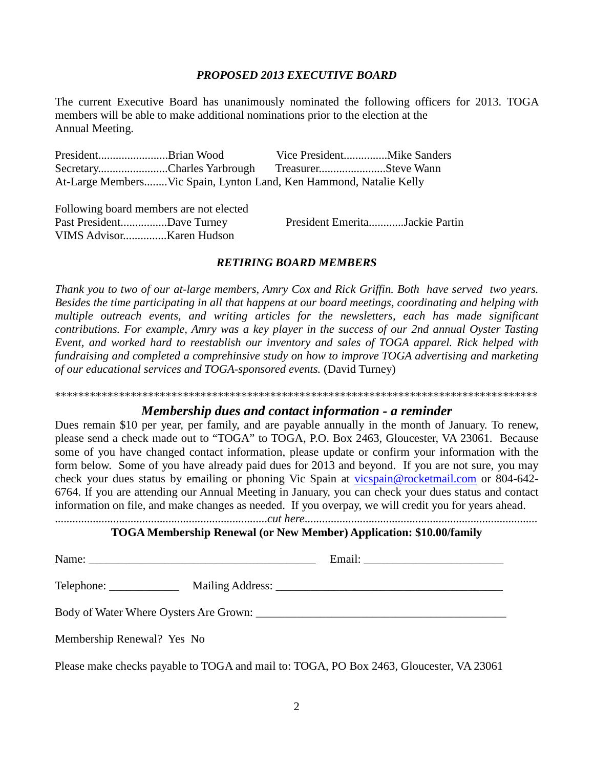#### *PROPOSED 2013 EXECUTIVE BOARD*

The current Executive Board has unanimously nominated the following officers for 2013. TOGA members will be able to make additional nominations prior to the election at the Annual Meeting.

| PresidentBrian Wood                                                 |  |  |
|---------------------------------------------------------------------|--|--|
| SecretaryCharles Yarbrough TreasurerSteve Wann                      |  |  |
| At-Large Members Vic Spain, Lynton Land, Ken Hammond, Natalie Kelly |  |  |

| Following board members are not elected |                                |  |
|-----------------------------------------|--------------------------------|--|
| Past PresidentDave Turney               | President EmeritaJackie Partin |  |
| VIMS AdvisorKaren Hudson                |                                |  |

#### *RETIRING BOARD MEMBERS*

*Thank you to two of our at-large members, Amry Cox and Rick Griffin. Both have served two years. Besides the time participating in all that happens at our board meetings, coordinating and helping with multiple outreach events, and writing articles for the newsletters, each has made significant contributions. For example, Amry was a key player in the success of our 2nd annual Oyster Tasting Event, and worked hard to reestablish our inventory and sales of TOGA apparel. Rick helped with fundraising and completed a comprehinsive study on how to improve TOGA advertising and marketing of our educational services and TOGA-sponsored events.* (David Turney)

## \*\*\*\*\*\*\*\*\*\*\*\*\*\*\*\*\*\*\*\*\*\*\*\*\*\*\*\*\*\*\*\*\*\*\*\*\*\*\*\*\*\*\*\*\*\*\*\*\*\*\*\*\*\*\*\*\*\*\*\*\*\*\*\*\*\*\*\*\*\*\*\*\*\*\*\*\*\*\*\*\*\*\*

### *Membership dues and contact information - a reminder*

Dues remain \$10 per year, per family, and are payable annually in the month of January. To renew, please send a check made out to "TOGA" to TOGA, P.O. Box 2463, Gloucester, VA 23061. Because some of you have changed contact information, please update or confirm your information with the form below. Some of you have already paid dues for 2013 and beyond. If you are not sure, you may check your dues status by emailing or phoning Vic Spain at vicspain@rocketmail.com or 804-642- 6764. If you are attending our Annual Meeting in January, you can check your dues status and contact information on file, and make changes as needed. If you overpay, we will credit you for years ahead.

.........................................................................*cut here*................................................................................

#### **TOGA Membership Renewal (or New Member) Application: \$10.00/family**

|                            | Body of Water Where Oysters Are Grown:                                                  |  |
|----------------------------|-----------------------------------------------------------------------------------------|--|
| Membership Renewal? Yes No |                                                                                         |  |
|                            | Please make checks payable to TOGA and mail to: TOGA, PO Box 2463, Gloucester, VA 23061 |  |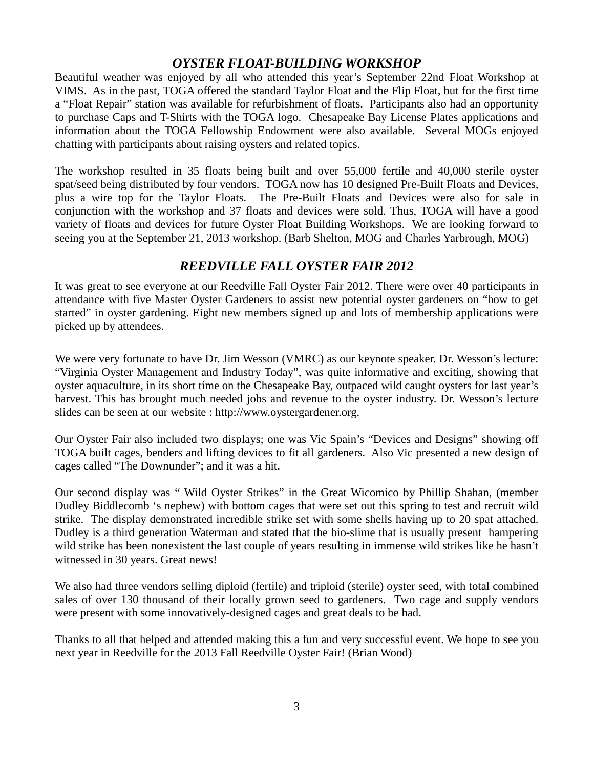## *OYSTER FLOAT-BUILDING WORKSHOP*

Beautiful weather was enjoyed by all who attended this year's September 22nd Float Workshop at VIMS. As in the past, TOGA offered the standard Taylor Float and the Flip Float, but for the first time a "Float Repair" station was available for refurbishment of floats. Participants also had an opportunity to purchase Caps and T-Shirts with the TOGA logo. Chesapeake Bay License Plates applications and information about the TOGA Fellowship Endowment were also available. Several MOGs enjoyed chatting with participants about raising oysters and related topics.

The workshop resulted in 35 floats being built and over 55,000 fertile and 40,000 sterile oyster spat/seed being distributed by four vendors. TOGA now has 10 designed Pre-Built Floats and Devices, plus a wire top for the Taylor Floats. The Pre-Built Floats and Devices were also for sale in conjunction with the workshop and 37 floats and devices were sold. Thus, TOGA will have a good variety of floats and devices for future Oyster Float Building Workshops. We are looking forward to seeing you at the September 21, 2013 workshop. (Barb Shelton, MOG and Charles Yarbrough, MOG)

## *REEDVILLE FALL OYSTER FAIR 2012*

It was great to see everyone at our Reedville Fall Oyster Fair 2012. There were over 40 participants in attendance with five Master Oyster Gardeners to assist new potential oyster gardeners on "how to get started" in oyster gardening. Eight new members signed up and lots of membership applications were picked up by attendees.

We were very fortunate to have Dr. Jim Wesson (VMRC) as our keynote speaker. Dr. Wesson's lecture: "Virginia Oyster Management and Industry Today", was quite informative and exciting, showing that oyster aquaculture, in its short time on the Chesapeake Bay, outpaced wild caught oysters for last year's harvest. This has brought much needed jobs and revenue to the oyster industry. Dr. Wesson's lecture slides can be seen at our website : http://www.oystergardener.org.

Our Oyster Fair also included two displays; one was Vic Spain's "Devices and Designs" showing off TOGA built cages, benders and lifting devices to fit all gardeners. Also Vic presented a new design of cages called "The Downunder"; and it was a hit.

Our second display was " Wild Oyster Strikes" in the Great Wicomico by Phillip Shahan, (member Dudley Biddlecomb 's nephew) with bottom cages that were set out this spring to test and recruit wild strike. The display demonstrated incredible strike set with some shells having up to 20 spat attached. Dudley is a third generation Waterman and stated that the bio-slime that is usually present hampering wild strike has been nonexistent the last couple of years resulting in immense wild strikes like he hasn't witnessed in 30 years. Great news!

We also had three vendors selling diploid (fertile) and triploid (sterile) oyster seed, with total combined sales of over 130 thousand of their locally grown seed to gardeners. Two cage and supply vendors were present with some innovatively-designed cages and great deals to be had.

Thanks to all that helped and attended making this a fun and very successful event. We hope to see you next year in Reedville for the 2013 Fall Reedville Oyster Fair! (Brian Wood)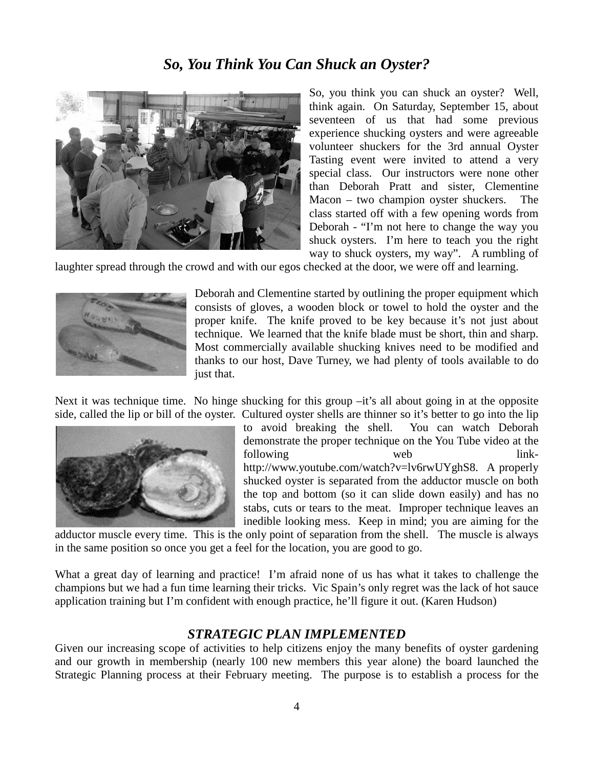# *So, You Think You Can Shuck an Oyster?*



So, you think you can shuck an oyster? Well, think again. On Saturday, September 15, about seventeen of us that had some previous experience shucking oysters and were agreeable volunteer shuckers for the 3rd annual Oyster Tasting event were invited to attend a very special class. Our instructors were none other than Deborah Pratt and sister, Clementine Macon – two champion oyster shuckers. The class started off with a few opening words from Deborah - "I'm not here to change the way you shuck oysters. I'm here to teach you the right way to shuck oysters, my way". A rumbling of

laughter spread through the crowd and with our egos checked at the door, we were off and learning.



Deborah and Clementine started by outlining the proper equipment which consists of gloves, a wooden block or towel to hold the oyster and the proper knife. The knife proved to be key because it's not just about technique. We learned that the knife blade must be short, thin and sharp. Most commercially available shucking knives need to be modified and thanks to our host, Dave Turney, we had plenty of tools available to do just that.

Next it was technique time. No hinge shucking for this group –it's all about going in at the opposite side, called the lip or bill of the oyster. Cultured oyster shells are thinner so it's better to go into the lip



to avoid breaking the shell. You can watch Deborah demonstrate the proper technique on the You Tube video at the following web linkhttp://www.youtube.com/watch?v=lv6rwUYghS8. A properly shucked oyster is separated from the adductor muscle on both the top and bottom (so it can slide down easily) and has no stabs, cuts or tears to the meat. Improper technique leaves an inedible looking mess. Keep in mind; you are aiming for the

adductor muscle every time. This is the only point of separation from the shell. The muscle is always in the same position so once you get a feel for the location, you are good to go.

What a great day of learning and practice! I'm afraid none of us has what it takes to challenge the champions but we had a fun time learning their tricks. Vic Spain's only regret was the lack of hot sauce application training but I'm confident with enough practice, he'll figure it out. (Karen Hudson)

### *STRATEGIC PLAN IMPLEMENTED*

Given our increasing scope of activities to help citizens enjoy the many benefits of oyster gardening and our growth in membership (nearly 100 new members this year alone) the board launched the Strategic Planning process at their February meeting. The purpose is to establish a process for the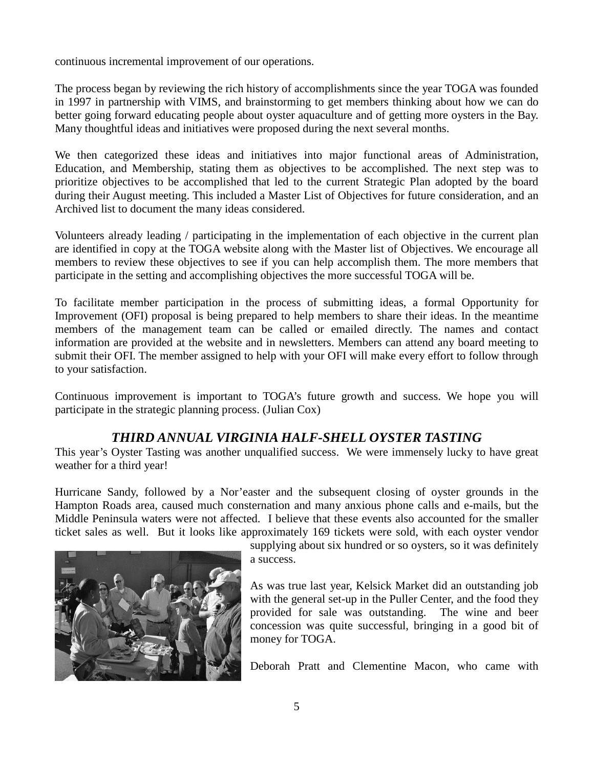continuous incremental improvement of our operations.

The process began by reviewing the rich history of accomplishments since the year TOGA was founded in 1997 in partnership with VIMS, and brainstorming to get members thinking about how we can do better going forward educating people about oyster aquaculture and of getting more oysters in the Bay. Many thoughtful ideas and initiatives were proposed during the next several months.

We then categorized these ideas and initiatives into major functional areas of Administration, Education, and Membership, stating them as objectives to be accomplished. The next step was to prioritize objectives to be accomplished that led to the current Strategic Plan adopted by the board during their August meeting. This included a Master List of Objectives for future consideration, and an Archived list to document the many ideas considered.

Volunteers already leading / participating in the implementation of each objective in the current plan are identified in copy at the TOGA website along with the Master list of Objectives. We encourage all members to review these objectives to see if you can help accomplish them. The more members that participate in the setting and accomplishing objectives the more successful TOGA will be.

To facilitate member participation in the process of submitting ideas, a formal Opportunity for Improvement (OFI) proposal is being prepared to help members to share their ideas. In the meantime members of the management team can be called or emailed directly. The names and contact information are provided at the website and in newsletters. Members can attend any board meeting to submit their OFI. The member assigned to help with your OFI will make every effort to follow through to your satisfaction.

Continuous improvement is important to TOGA's future growth and success. We hope you will participate in the strategic planning process. (Julian Cox)

## *THIRD ANNUAL VIRGINIA HALF-SHELL OYSTER TASTING*

This year's Oyster Tasting was another unqualified success. We were immensely lucky to have great weather for a third year!

Hurricane Sandy, followed by a Nor'easter and the subsequent closing of oyster grounds in the Hampton Roads area, caused much consternation and many anxious phone calls and e-mails, but the Middle Peninsula waters were not affected. I believe that these events also accounted for the smaller ticket sales as well. But it looks like approximately 169 tickets were sold, with each oyster vendor



supplying about six hundred or so oysters, so it was definitely a success.

As was true last year, Kelsick Market did an outstanding job with the general set-up in the Puller Center, and the food they provided for sale was outstanding. The wine and beer concession was quite successful, bringing in a good bit of money for TOGA.

Deborah Pratt and Clementine Macon, who came with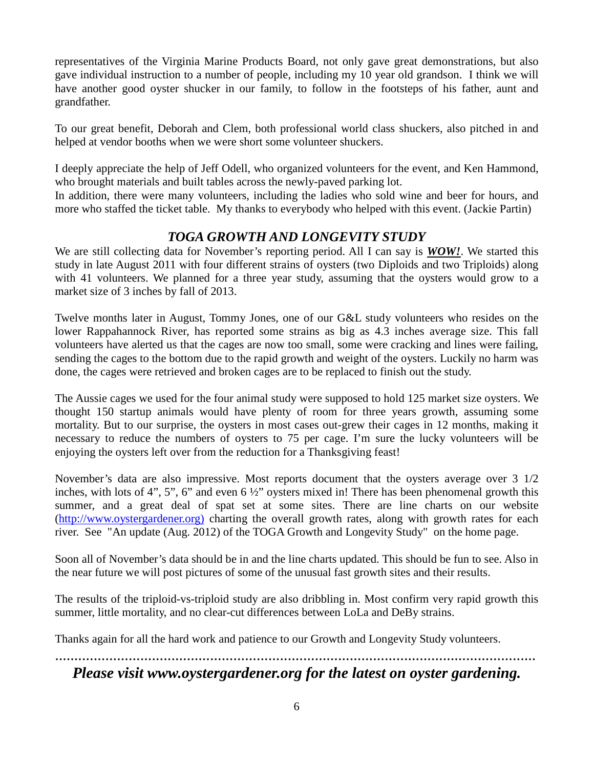representatives of the Virginia Marine Products Board, not only gave great demonstrations, but also gave individual instruction to a number of people, including my 10 year old grandson. I think we will have another good oyster shucker in our family, to follow in the footsteps of his father, aunt and grandfather.

To our great benefit, Deborah and Clem, both professional world class shuckers, also pitched in and helped at vendor booths when we were short some volunteer shuckers.

I deeply appreciate the help of Jeff Odell, who organized volunteers for the event, and Ken Hammond, who brought materials and built tables across the newly-paved parking lot.

In addition, there were many volunteers, including the ladies who sold wine and beer for hours, and more who staffed the ticket table. My thanks to everybody who helped with this event. (Jackie Partin)

## *TOGA GROWTH AND LONGEVITY STUDY*

We are still collecting data for November's reporting period. All I can say is *WOW!*. We started this study in late August 2011 with four different strains of oysters (two Diploids and two Triploids) along with 41 volunteers. We planned for a three year study, assuming that the oysters would grow to a market size of 3 inches by fall of 2013.

Twelve months later in August, Tommy Jones, one of our G&L study volunteers who resides on the lower Rappahannock River, has reported some strains as big as 4.3 inches average size. This fall volunteers have alerted us that the cages are now too small, some were cracking and lines were failing, sending the cages to the bottom due to the rapid growth and weight of the oysters. Luckily no harm was done, the cages were retrieved and broken cages are to be replaced to finish out the study.

The Aussie cages we used for the four animal study were supposed to hold 125 market size oysters. We thought 150 startup animals would have plenty of room for three years growth, assuming some mortality. But to our surprise, the oysters in most cases out-grew their cages in 12 months, making it necessary to reduce the numbers of oysters to 75 per cage. I'm sure the lucky volunteers will be enjoying the oysters left over from the reduction for a Thanksgiving feast!

November's data are also impressive. Most reports document that the oysters average over 3 1/2 inches, with lots of 4", 5", 6" and even 6 ½" oysters mixed in! There has been phenomenal growth this summer, and a great deal of spat set at some sites. There are line charts on our website (http://www.oystergardener.org) charting the overall growth rates, along with growth rates for each river. See "An update (Aug. 2012) of the TOGA Growth and Longevity Study" on the home page.

Soon all of November's data should be in and the line charts updated. This should be fun to see. Also in the near future we will post pictures of some of the unusual fast growth sites and their results.

The results of the triploid-vs-triploid study are also dribbling in. Most confirm very rapid growth this summer, little mortality, and no clear-cut differences between LoLa and DeBy strains.

Thanks again for all the hard work and patience to our Growth and Longevity Study volunteers.

*Please visit www.oystergardener.org for the latest on oyster gardening.* 

............................................................................................................................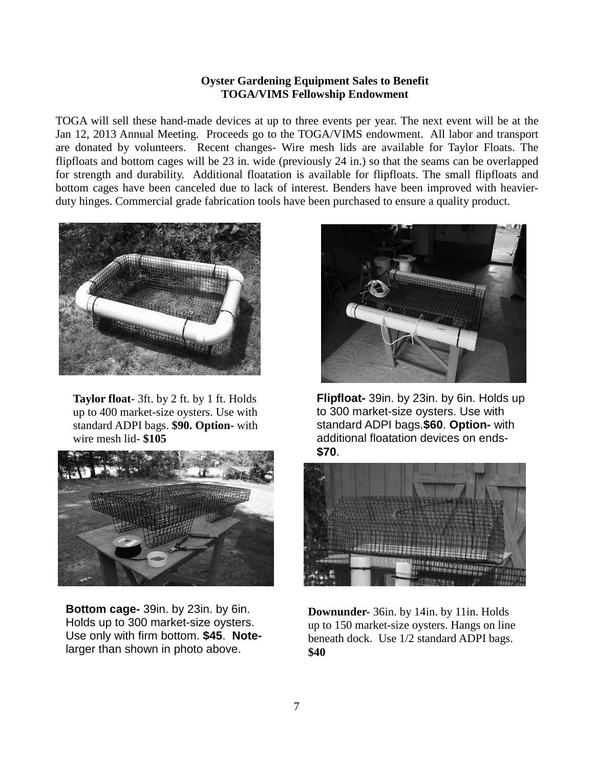#### **Oyster Gardening Equipment Sales to Benefit TOGA/VIMS Fellowship Endowment**

TOGA will sell these hand-made devices at up to three events per year. The next event will be at the Jan 12, 2013 Annual Meeting. Proceeds go to the TOGA/VIMS endowment. All labor and transport are donated by volunteers. Recent changes- Wire mesh lids are available for Taylor Floats. The flipfloats and bottom cages will be 23 in. wide (previously 24 in.) so that the seams can be overlapped for strength and durability. Additional floatation is available for flipfloats. The small flipfloats and bottom cages have been canceled due to lack of interest. Benders have been improved with heavierduty hinges. Commercial grade fabrication tools have been purchased to ensure a quality product.



**Taylor float-** 3ft. by 2 ft. by 1 ft. Holds up to 400 market-size oysters. Use with standard ADPI bags. **\$90. Option-** with wire mesh lid- **\$105** 



**Bottom cage-** 39in. by 23in. by 6in. Holds up to 300 market-size oysters. Use only with firm bottom. **\$45**. **Note**larger than shown in photo above.



**Flipfloat-** 39in. by 23in. by 6in. Holds up to 300 market-size oysters. Use with standard ADPI bags.**\$60**. **Option-** with additional floatation devices on ends- **\$70**.



**Downunder-** 36in. by 14in. by 11in. Holds up to 150 market-size oysters. Hangs on line beneath dock. Use 1/2 standard ADPI bags. **\$40**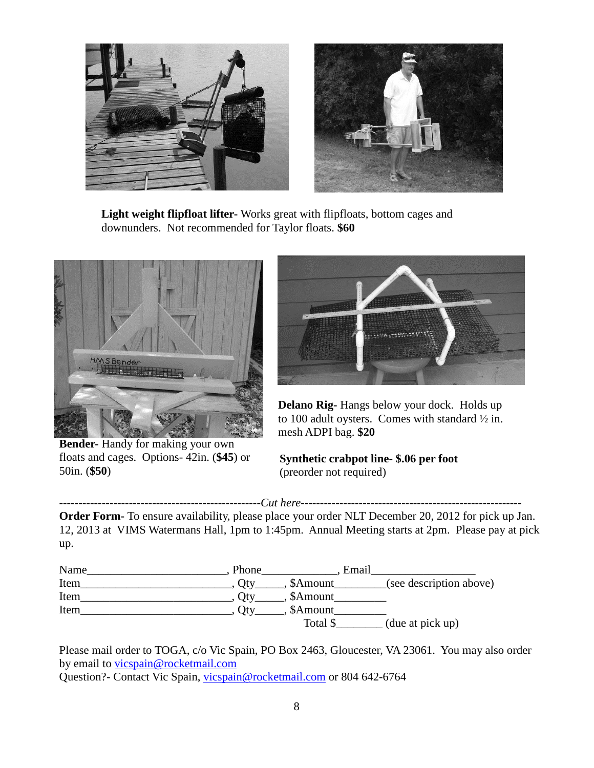

**Light weight flipfloat lifter-** Works great with flipfloats, bottom cages and downunders. Not recommended for Taylor floats. **\$60** 



**Bender-** Handy for making your own floats and cages. Options- 42in. (**\$45**) or 50in. (**\$50**)



**Delano Rig-** Hangs below your dock. Holds up to 100 adult oysters. Comes with standard ½ in. mesh ADPI bag. **\$20** 

**Synthetic crabpot line- \$.06 per foot**  (preorder not required)

----------------------------------------------------*Cut here*---------------------------------------------------------

**Order Form-** To ensure availability, please place your order NLT December 20, 2012 for pick up Jan. 12, 2013 at VIMS Watermans Hall, 1pm to 1:45pm. Annual Meeting starts at 2pm. Please pay at pick up.

| Name | Phone       | Email          |                         |
|------|-------------|----------------|-------------------------|
| Item | $\Omega$ tv | , \$Amount     | (see description above) |
| Item | Qty         | <b>SAmount</b> |                         |
| Item | . Jtv       | \$Amount       |                         |
|      |             | Total \$       | (due at pick up)        |

Please mail order to TOGA, c/o Vic Spain, PO Box 2463, Gloucester, VA 23061. You may also order by email to vicspain@rocketmail.com Question?- Contact Vic Spain, vicspain@rocketmail.com or 804 642-6764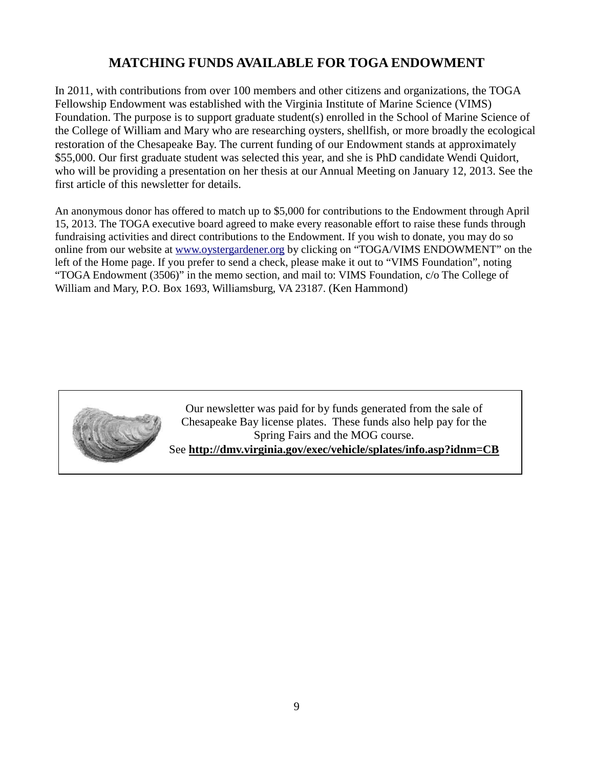# **MATCHING FUNDS AVAILABLE FOR TOGA ENDOWMENT**

In 2011, with contributions from over 100 members and other citizens and organizations, the TOGA Fellowship Endowment was established with the Virginia Institute of Marine Science (VIMS) Foundation. The purpose is to support graduate student(s) enrolled in the School of Marine Science of the College of William and Mary who are researching oysters, shellfish, or more broadly the ecological restoration of the Chesapeake Bay. The current funding of our Endowment stands at approximately \$55,000. Our first graduate student was selected this year, and she is PhD candidate Wendi Quidort, who will be providing a presentation on her thesis at our Annual Meeting on January 12, 2013. See the first article of this newsletter for details.

An anonymous donor has offered to match up to \$5,000 for contributions to the Endowment through April 15, 2013. The TOGA executive board agreed to make every reasonable effort to raise these funds through fundraising activities and direct contributions to the Endowment. If you wish to donate, you may do so online from our website at www.oystergardener.org by clicking on "TOGA/VIMS ENDOWMENT" on the left of the Home page. If you prefer to send a check, please make it out to "VIMS Foundation", noting "TOGA Endowment (3506)" in the memo section, and mail to: VIMS Foundation, c/o The College of William and Mary, P.O. Box 1693, Williamsburg, VA 23187. (Ken Hammond)



Our newsletter was paid for by funds generated from the sale of Chesapeake Bay license plates. These funds also help pay for the Spring Fairs and the MOG course. See **http://dmv.virginia.gov/exec/vehicle/splates/info.asp?idnm=CB**